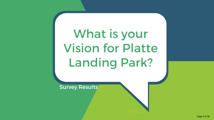Vicion for Platte Vision for Platte What is your Landing Park?

Survey Results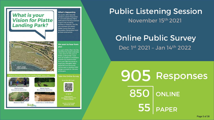#### What is your<br>Vision for Platte **Landing Park?**

**What's Happening** On April 2, 2019, Parkville residents passed Proposition P. a 1/2 cent sales tax that is dedicated to the improvement of park and recreation facilities in Parkville. The City also received a \$1 million **Platte County Parks and Recreation Partnership Grant** to fund construction.

# WETLAND

We want to hear from luov

As a part of this effort, the City identified the need to develop a new vision for this area of Platte Landing Park, Input from all residents is important and the City wants to hear from you! Take the survey to share your thoughts. Input gathered from the survey will be used to develop initial design concepts for this area of the park.



#### Public Listening Session November 15th 2021

# Online Public Survey

Dec 1st 2021 – Jan 14th 2022

905 Responses **PAPER** 850 ONLINE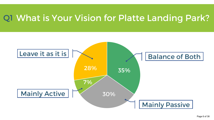#### What is Your Vision for Platte Landing Park? Q1

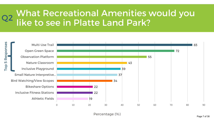### What Recreational Amenities would you Q2 like to see in Platte Land Park?

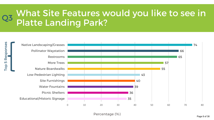# What Site Features would you like to see in Q3 Platte Landing Park?

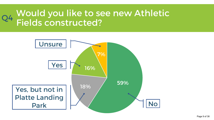# Would you like to see new Athletic Q4 Fields constructed?

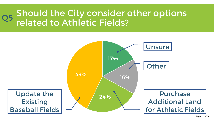### Should the City consider other options Q5 Priodid the City Consider

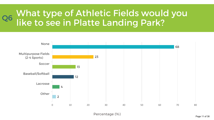#### What type of Athletic Fields would you Q6 like to see in Platte Landing Park?



Percentage (%)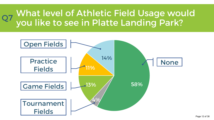# What level of Athletic Field Usage would Q7 You like to see in Platte Landing Park?

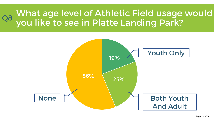## What age level of Athletic Field usage would Q8 You like to see in Platte Landing Park?

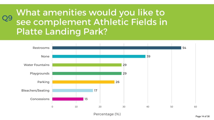#### What amenities would you like to see complement Athletic Fields in Platte Landing Park? Q9



Percentage (%)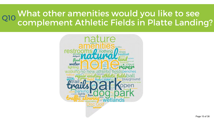#### What other amenities would you like to see Q10 What Strict arrierates would you like to see

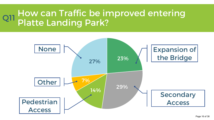## How can Traffic be improved entering Q11 Platte Landing Park?

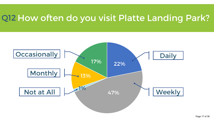#### Q12 How often do you visit Platte Landing Park?

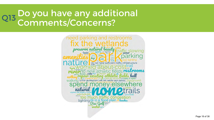#### Do you have any additional Q13 Comments/Concerns?

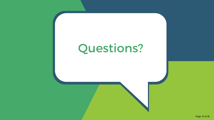